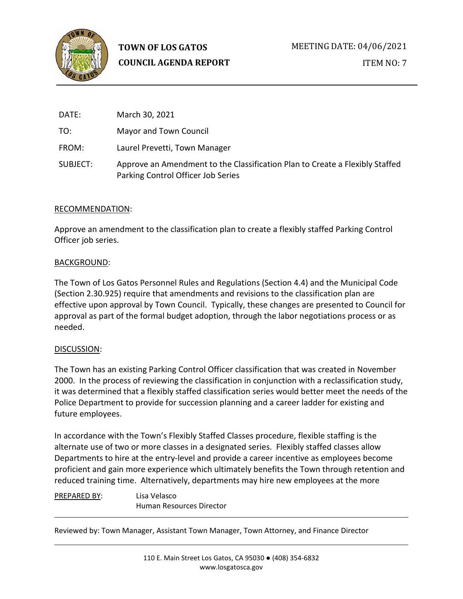

ITEM NO: 7

| DATE:    | March 30, 2021                                                                                                     |
|----------|--------------------------------------------------------------------------------------------------------------------|
| TO:      | Mayor and Town Council                                                                                             |
| FROM:    | Laurel Prevetti, Town Manager                                                                                      |
| SUBJECT: | Approve an Amendment to the Classification Plan to Create a Flexibly Staffed<br>Parking Control Officer Job Series |

### RECOMMENDATION:

Approve an amendment to the classification plan to create a flexibly staffed Parking Control Officer job series.

### BACKGROUND:

The Town of Los Gatos Personnel Rules and Regulations (Section 4.4) and the Municipal Code (Section 2.30.925) require that amendments and revisions to the classification plan are effective upon approval by Town Council. Typically, these changes are presented to Council for approval as part of the formal budget adoption, through the labor negotiations process or as needed.

## DISCUSSION:

The Town has an existing Parking Control Officer classification that was created in November 2000. In the process of reviewing the classification in conjunction with a reclassification study, it was determined that a flexibly staffed classification series would better meet the needs of the Police Department to provide for succession planning and a career ladder for existing and future employees.

In accordance with the Town's Flexibly Staffed Classes procedure, flexible staffing is the alternate use of two or more classes in a designated series. Flexibly staffed classes allow Departments to hire at the entry-level and provide a career incentive as employees become proficient and gain more experience which ultimately benefits the Town through retention and reduced training time. Alternatively, departments may hire new employees at the more

PREPARED BY: Lisa Velasco Human Resources Director

Reviewed by: Town Manager, Assistant Town Manager, Town Attorney, and Finance Director